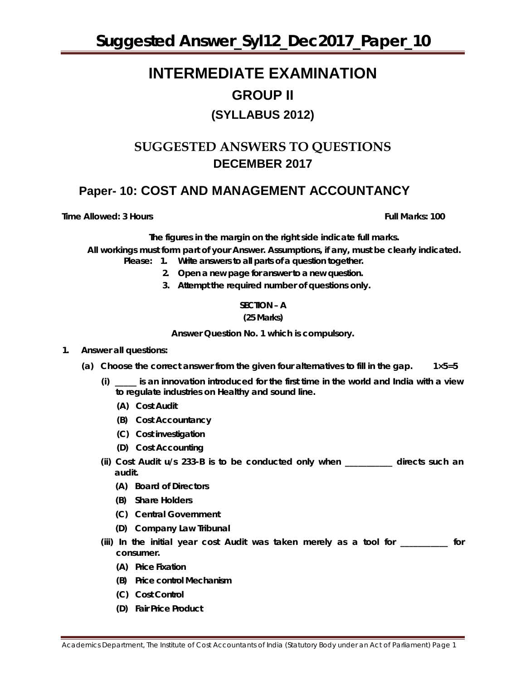# **INTERMEDIATE EXAMINATION GROUP II (SYLLABUS 2012)**

# **SUGGESTED ANSWERS TO QUESTIONS DECEMBER 2017**

# **Paper- 10: COST AND MANAGEMENT ACCOUNTANCY**

**Time Allowed: 3 Hours Full Marks: 100**

*The figures in the margin on the right side indicate full marks.*

*All workings must form part of your Answer. Assumptions, if any, must be clearly indicated.*

- *Please: 1. Write answers to all parts of a question together.*
	- *2. Open a new page for answer to a new question.*
	- *3. Attempt the required number of questions only.*

# **SECTION – A**

#### **(25 Marks)**

**Answer** *Question No. 1* **which is compulsory.**

#### **1. Answer all questions:**

- **(a) Choose the correct answer from the given four alternatives to fill in the gap. 1×5=5**
	- **(i) \_\_\_\_\_ is an innovation introduced for the first time in the world and India with a view to regulate industries on Healthy and sound line.**
		- **(A) Cost Audit**
		- **(B) Cost Accountancy**
		- **(C) Cost investigation**
		- **(D) Cost Accounting**
	- **(ii) Cost Audit u/s 233-B is to be conducted only when \_\_\_\_\_\_\_\_\_\_\_ directs such an audit.**
		- **(A) Board of Directors**
		- **(B) Share Holders**
		- **(C) Central Government**
		- **(D) Company Law Tribunal**
	- **(iii) In the initial year cost Audit was taken merely as a tool for \_\_\_\_\_\_\_\_\_\_\_ for consumer.**
		- **(A) Price Fixation**
		- **(B) Price control Mechanism**
		- **(C) Cost Control**
		- **(D) Fair Price Product**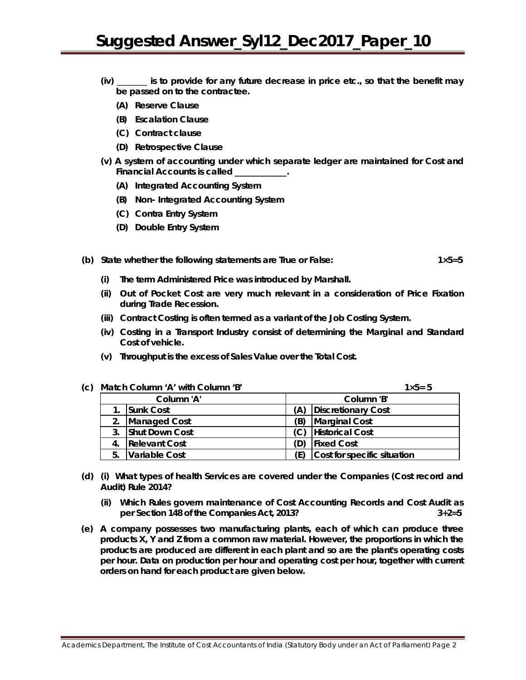- **(iv) \_\_\_\_\_\_\_ is to provide for any future decrease in price etc., so that the benefit may be passed on to the contractee.**
	- **(A) Reserve Clause**
	- **(B) Escalation Clause**
	- **(C) Contract clause**
	- **(D) Retrospective Clause**
- **(v) A system of accounting under which separate ledger are maintained for Cost and Financial Accounts is called \_\_\_\_\_\_\_\_\_\_\_\_.**
	- **(A) Integrated Accounting System**
	- **(B) Non- Integrated Accounting System**
	- **(C) Contra Entry System**
	- **(D) Double Entry System**

#### **(b) State whether the following statements are True or False: 1×5=5**

- **(i) The term Administered Price was introduced by Marshall.**
- **(ii) Out of Pocket Cost are very much relevant in a consideration of Price Fixation during Trade Recession.**
- **(iii) Contract Costing is often termed as a variant of the Job Costing System.**
- **(iv) Costing in a Transport Industry consist of determining the Marginal and Standard Cost of vehicle.**
- **(v) Throughput is the excess of Sales Value over the Total Cost.**

| (c) | Match Column 'A' with Column 'B' |                       |     | $1 \times 5 = 5$            |
|-----|----------------------------------|-----------------------|-----|-----------------------------|
|     |                                  | Column 'A'            |     | Column 'B'                  |
|     |                                  | <b>Sunk Cost</b>      |     | <b>Discretionary Cost</b>   |
|     | 2.                               | Managed Cost          | (B) | Marginal Cost               |
|     | 3.                               | <b>Shut Down Cost</b> |     | <b>Historical Cost</b>      |
|     | 4.                               | <b>Relevant Cost</b>  |     | <b>Fixed Cost</b>           |
|     | 5.                               | Variable Cost         |     | Cost for specific situation |

- **(d) (i) What types of health Services are covered under the Companies (Cost record and Audit) Rule 2014?**
	- **(ii) Which Rules govern maintenance of Cost Accounting Records and Cost Audit as per Section 148 of the Companies Act, 2013? 3+2=5**
- **(e) A company possesses two manufacturing plants, each of which can produce three products X, Y and Z from a common raw material. However, the proportions in which the products are produced are different in each plant and so are the plant's operating costs per hour. Data on production per hour and operating cost per hour, together with current orders on hand for each product are given below.**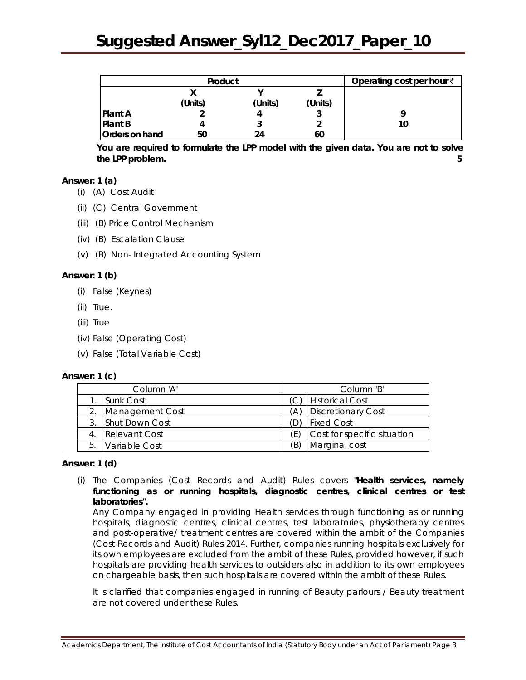| Product        |         |         |         | Operating cost per hour $\bar{z}$ |
|----------------|---------|---------|---------|-----------------------------------|
|                |         |         |         |                                   |
|                | (Units) | (Units) | (Units) |                                   |
| <b>Plant A</b> |         |         |         |                                   |
| <b>Plant B</b> |         |         |         | 10                                |
| Orders on hand | 50      | 24      | 60      |                                   |

**You are required to formulate the LPP model with the given data. You are** *not to* **solve the LPP problem. 5**

# **Answer: 1 (a)**

- (i) (A) Cost Audit
- (ii) (C) Central Government
- (iii) (B) Price Control Mechanism
- (iv) (B) Escalation Clause
- (v) (B) Non- Integrated Accounting System

#### **Answer: 1 (b)**

- (i) False (Keynes)
- (ii) True.
- (iii) True
- (iv) False (Operating Cost)
- (v) False (Total Variable Cost)

#### **Answer: 1 (c)**

| Column 'A'       |                      |    | Column 'B'                  |  |  |
|------------------|----------------------|----|-----------------------------|--|--|
| <b>Sunk Cost</b> |                      |    | <b>Historical Cost</b>      |  |  |
|                  | Management Cost      | A) | Discretionary Cost          |  |  |
|                  | Shut Down Cost       |    | <b>Fixed Cost</b>           |  |  |
|                  | <b>Relevant Cost</b> |    | Cost for specific situation |  |  |
| 5.               | Variable Cost        | Έ) | Marginal cost               |  |  |

#### **Answer: 1 (d)**

(i) The Companies (Cost Records and Audit) Rules covers "**Health services, namely functioning as or running hospitals, diagnostic centres, clinical centres or test laboratories".**

Any Company engaged in providing Health services through functioning as or running hospitals, diagnostic centres, clinical centres, test laboratories, physiotherapy centres and post-operative/ treatment centres are covered within the ambit of the Companies (Cost Records and Audit) Rules 2014. Further, companies running hospitals exclusively for its own employees are excluded from the ambit of these Rules, provided however, if such hospitals are providing health services to outsiders also in addition to its own employees on chargeable basis, then such hospitals are covered within the ambit of these Rules.

It is clarified that companies engaged in running of Beauty parlours / Beauty treatment are not covered under these Rules.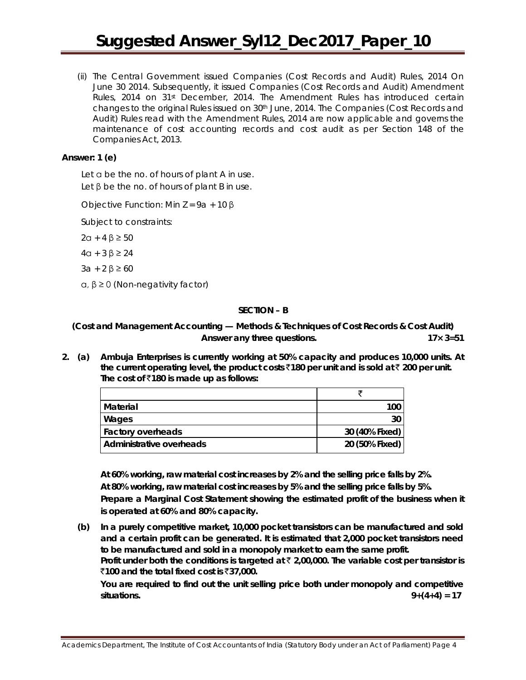(ii) The Central Government issued Companies (Cost Records and Audit) Rules, 2014 On June 30 2014. Subsequently, it issued Companies (Cost Records and Audit) Amendment Rules, 2014 on 31st December, 2014. The Amendment Rules has introduced certain changes to the original Rules issued on 30th June, 2014. The Companies (Cost Records and Audit) Rules read with the Amendment Rules, 2014 are now applicable and governs the maintenance of cost accounting records and cost audit as per Section 148 of the Companies Act, 2013.

#### **Answer: 1 (e)**

Let a be the no. of hours of plant A in use. Let β be the no. of hours of plant B in use.

Objective Function: Min Z = 9a + 10 β

Subject to constraints:

2α + 4 β ≥ 50

4α + 3 β ≥ 24

 $3a + 2 β ≥ 60$ 

α, β ≥ 0 (Non-negativity factor)

#### **SECTION – B**

**(Cost and Management Accounting — Methods & Techniques of Cost Records & Cost Audit) Answer** *any three* **questions. 17× 3=51**

**2. (a) Ambuja Enterprises is currently working at 50% capacity and produces 10,000 units. At the current operating level, the product costs** `**180 per unit and is sold at** ` **200 per unit. The cost of** `**180 is made up as follows:**

| Material                 | 100            |
|--------------------------|----------------|
| Wages                    | 30             |
| <b>Factory overheads</b> | 30 (40% Fixed) |
| Administrative overheads | 20 (50% Fixed) |

**At 60% working, raw material cost increases by 2% and the selling price falls by 2%. At 80% working, raw material cost increases by 5% and the selling price falls by 5%. Prepare a Marginal Cost Statement showing the estimated profit of the business when it is operated at 60% and 80% capacity.**

**(b) In a purely competitive market, 10,000 pocket transistors can be manufactured and sold and a certain profit can be generated. It is estimated that 2,000 pocket transistors need to be manufactured and sold in a monopoly market to earn the same profit. Profit under both the conditions is targeted at** ` **2,00,000. The variable cost per transistor is** `**100 and the total fixed cost is** `**37,000.**

**You are required to find out the unit selling price both under monopoly and competitive situations.** 9+(4+4) = 17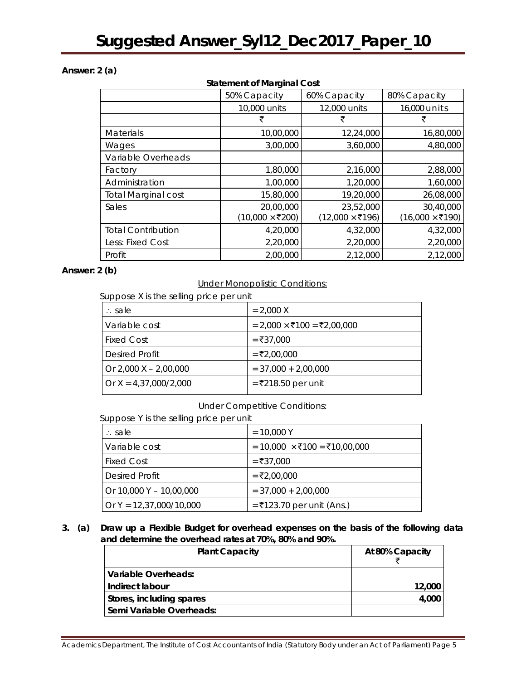# **Answer: 2 (a)**

# **Statement of Marginal Cost**

|                            | 50% Capacity    | 60% Capacity                      | 80% Capacity                      |  |
|----------------------------|-----------------|-----------------------------------|-----------------------------------|--|
|                            | 10,000 units    | 12,000 units                      | 16,000 units                      |  |
|                            | ₹               | ₹                                 | ₹                                 |  |
| <b>Materials</b>           | 10,00,000       | 12,24,000                         | 16,80,000                         |  |
| Wages                      | 3,00,000        | 3,60,000                          | 4,80,000                          |  |
| Variable Overheads         |                 |                                   |                                   |  |
| Factory                    | 1,80,000        | 2,16,000                          | 2,88,000                          |  |
| Administration             | 1,00,000        | 1,20,000                          | 1,60,000                          |  |
| <b>Total Marginal cost</b> | 15,80,000       | 19,20,000                         | 26,08,000                         |  |
| Sales                      | 20,00,000       | 23,52,000                         | 30,40,000                         |  |
|                            | (10,000 × ₹200) | $(12,000 \times \overline{5}196)$ | $(16,000 \times \overline{5}190)$ |  |
| <b>Total Contribution</b>  | 4,20,000        | 4,32,000                          | 4,32,000                          |  |
| Less: Fixed Cost           | 2,20,000        | 2,20,000                          | 2,20,000                          |  |
| Profit                     | 2,00,000        | 2,12,000                          | 2,12,000                          |  |

# **Answer: 2 (b)**

# Under Monopolistic Conditions:

Suppose X is the selling price per unit

| $\therefore$ sale         | $= 2.000 X$                |
|---------------------------|----------------------------|
| Variable cost             | = 2,000 × ₹100 = ₹2,00,000 |
| <b>Fixed Cost</b>         | $= ₹37,000$                |
| <b>Desired Profit</b>     | $= ₹2.00.000$              |
| Or $2,000$ X $- 2,00,000$ | $= 37,000 + 2,00,000$      |
| Or $X = 4,37,000/2,000$   | = ₹218.50 per unit         |
|                           |                            |

# Under Competitive Conditions:

Suppose Y is the selling price per unit

| ∴ sale                    | $= 10,000$ Y                        |
|---------------------------|-------------------------------------|
| Variable cost             | = 10,000 $\times$ ₹100 = ₹10,00,000 |
| <b>Fixed Cost</b>         | $= ₹37,000$                         |
| Desired Profit            | $= ₹2.00.000$                       |
| Or 10,000 Y - 10,00,000   | $= 37,000 + 2,00,000$               |
| Or $Y = 12,37,000/10,000$ | $=$ ₹123.70 per unit (Ans.)         |

# **3. (a) Draw up a Flexible Budget for overhead expenses on the basis of the following data and determine the overhead rates at 70%, 80% and 90%.**

| <b>Plant Capacity</b>    | At 80% Capacity |
|--------------------------|-----------------|
| Variable Overheads:      |                 |
| Indirect labour          | 12,000          |
| Stores, including spares | 4,000           |
| Semi Variable Overheads: |                 |

Academics Department, The Institute of Cost Accountants of India (Statutory Body under an Act of Parliament) Page 5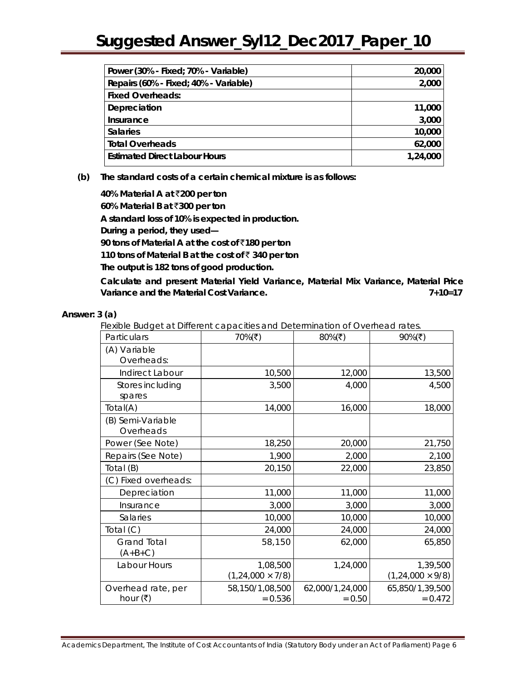| Power (30% - Fixed; 70% - Variable)   | 20,000   |
|---------------------------------------|----------|
| Repairs (60% - Fixed; 40% - Variable) | 2,000    |
| <b>Fixed Overheads:</b>               |          |
| Depreciation                          | 11,000   |
| Insurance                             | 3,000    |
| <b>Salaries</b>                       | 10,000   |
| <b>Total Overheads</b>                | 62,000   |
| <b>Estimated Direct Labour Hours</b>  | 1,24,000 |

**(b) The standard costs of a certain chemical mixture is as follows:**

**40% Material A at** `**200 per ton 60% Material B at** `**300 per ton A standard loss of 10% is expected in production. During a period, they used— 90 tons of Material A at the cost of** `**180 per ton 110 tons of Material B at the cost of** ` **340 per ton The output is 182 tons of good production.**

**Calculate and present Material Yield Variance, Material Mix Variance, Material Price Variance and the Material Cost Variance. 7+10=17**

#### **Answer: 3 (a)**

Flexible Budget at Different capacities and Determination of Overhead rates.

| Particulars                                          | 70% $(\bar{\bar{\tau}})$              | 80% $(\overline{\mathbf{z}})$ | 90% $(\bar{\tau})$                  |
|------------------------------------------------------|---------------------------------------|-------------------------------|-------------------------------------|
| (A) Variable<br>Overheads:                           |                                       |                               |                                     |
| Indirect Labour                                      | 10,500                                | 12,000                        | 13,500                              |
| Stores including<br>spares                           | 3,500                                 | 4,000                         | 4,500                               |
| Total(A)                                             | 14,000                                | 16,000                        | 18,000                              |
| (B) Semi-Variable<br>Overheads                       |                                       |                               |                                     |
| Power (See Note)                                     | 18,250                                | 20,000                        | 21,750                              |
| Repairs (See Note)                                   | 1,900                                 | 2,000                         | 2,100                               |
| Total (B)                                            | 20,150                                | 22,000                        | 23,850                              |
| (C) Fixed overheads:                                 |                                       |                               |                                     |
| Depreciation                                         | 11,000                                | 11,000                        | 11,000                              |
| Insurance                                            | 3,000                                 | 3,000                         | 3,000                               |
| Salaries                                             | 10,000                                | 10,000                        | 10,000                              |
| Total $(C)$                                          | 24,000                                | 24,000                        | 24,000                              |
| Grand Total<br>$(A+B+C)$                             | 58,150                                | 62,000                        | 65,850                              |
| Labour Hours                                         | 1,08,500<br>$(1, 24, 000 \times 7/8)$ | 1,24,000                      | 1,39,500<br>$(1,24,000 \times 9/8)$ |
| Overhead rate, per<br>hour $(\overline{\mathbf{z}})$ | 58,150/1,08,500<br>$= 0.536$          | 62,000/1,24,000<br>$= 0.50$   | 65,850/1,39,500<br>$= 0.472$        |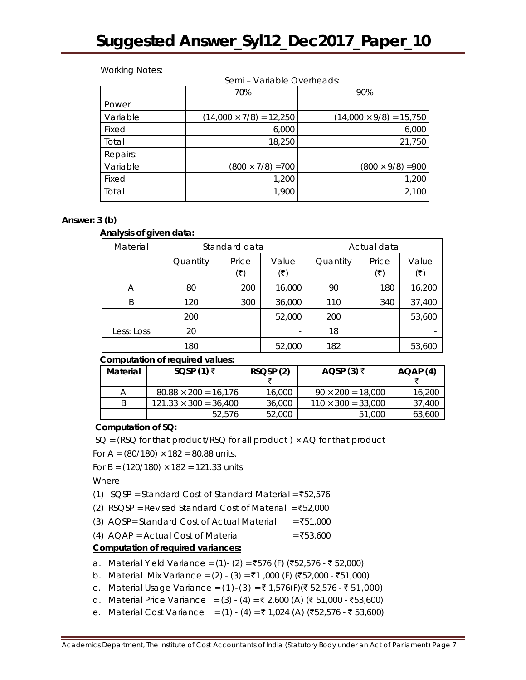Semi – Variable Overheads:

#### Working Notes:

|          | <u> Seriji – Valiable Overrieaus.</u> |                                |  |  |  |
|----------|---------------------------------------|--------------------------------|--|--|--|
|          | 70%                                   | 90%                            |  |  |  |
| Power    |                                       |                                |  |  |  |
| Variable | $(14,000 \times 7/8) = 12,250$        | $(14,000 \times 9/8) = 15,750$ |  |  |  |
| Fixed    | 6,000                                 | 6,000                          |  |  |  |
| Total    | 18,250                                | 21,750                         |  |  |  |
| Repairs: |                                       |                                |  |  |  |
| Variable | $(800 \times 7/8) = 700$              | $(800 \times 9/8) = 900$       |  |  |  |
| Fixed    | 1,200                                 | 1,200                          |  |  |  |
| Total    | 1,900                                 | 2,100                          |  |  |  |

# **Answer: 3 (b)**

#### **Analysis of given data:**

| Material   | Standard data |       |        | Actual data |       |        |
|------------|---------------|-------|--------|-------------|-------|--------|
|            | Quantity      | Price | Value  | Quantity    | Price | Value  |
|            |               | (₹)   | (₹)    |             | (₹)   | (₹)    |
| Α          | 80            | 200   | 16,000 | 90          | 180   | 16,200 |
| B          | 120           | 300   | 36,000 | 110         | 340   | 37,400 |
|            | 200           |       | 52,000 | 200         |       | 53,600 |
| Less: Loss | 20            |       |        | 18          |       |        |
|            | 180           |       | 52,000 | 182         |       | 53,600 |

#### **Computation of required values:**

| Material | SQSP (1) $\bar{z}$           | RSQSP(2) | AQSP (3) $\bar{z}$        | AQAP(4) |
|----------|------------------------------|----------|---------------------------|---------|
| Α        | $80.88 \times 200 = 16,176$  | 16,000   | $90 \times 200 = 18,000$  | 16,200  |
| B        | $121.33 \times 300 = 36,400$ | 36,000   | $110 \times 300 = 33,000$ | 37,400  |
|          | 52,576                       | 52,000   | 51,000                    | 63,600  |

# **Computation of SQ:**

 $SO = (RSQ for that product/RSQ for all product) \times AO for that product$ 

For A =  $(80/180) \times 182 = 80.88$  units.

For B =  $(120/180) \times 182 = 121.33$  units

Where

- (1) SQSP = Standard Cost of Standard Material =  $\overline{5}52,576$
- (2) RSQSP = Revised Standard Cost of Material =  $\overline{5}52,000$
- (3) AQSP= Standard Cost of Actual Material =  $\overline{5}51,000$
- (4)  $AQAP = Actual Cost of Material$  =  $\overline{53,600}$

# **Computation of required variances:**

- a. Material Yield Variance = (1) (2) = ₹576 (F) (₹52,576 ₹ 52,000)
- b. Material Mix Variance =  $(2) (3) = ₹1,000$  (F) (₹52,000 ₹51,000)
- c. Material Usage Variance = (1)-(3) = ₹1,576(F)(₹52,576 ₹51,000)
- d. Material Price Variance = (3) (4) = ₹ 2,600 (A) (₹ 51,000 ₹53,600)
- e. Material Cost Variance = (1) (4) = ₹ 1,024 (A) (₹52,576 ₹ 53,600)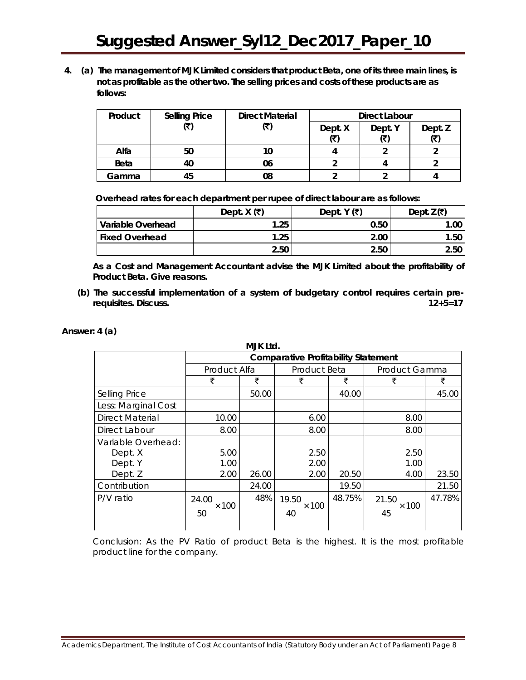**4. (a) The management of MJK Limited considers that product Beta, one of its three main lines, is not as profitable as the other two. The selling prices and costs of these products are as follows:**

| Product     | <b>Selling Price</b> | <b>Direct Material</b> | Direct Labour |         |         |
|-------------|----------------------|------------------------|---------------|---------|---------|
|             |                      |                        | Dept. X       | Dept. Y | Dept. Z |
|             |                      |                        | ι₹            |         |         |
| Alfa        | 50                   |                        |               |         |         |
| <b>Beta</b> | 40                   | 06                     |               |         |         |
| Gamma       |                      | 08                     |               |         |         |

 **Overhead rates for each department per rupee of direct labour are as follows:** 

|                       | Dept. $X$ (₹) | Dept. Y (₹) | Dept. $Z(\overline{\mathbf{x}})$ |
|-----------------------|---------------|-------------|----------------------------------|
| Variable Overhead     | 1.25          | 0.50        | 1.00                             |
| <b>Fixed Overhead</b> | 1.25          | 2.00        | 1.50                             |
|                       | 2.50          | 2.50        | 2.50                             |

**As a Cost and Management Accountant advise the MJK Limited about the profitability of Product Beta. Give reasons.**

**(b) The successful implementation of a system of budgetary control requires certain prerequisites. Discuss. 12+5=17**

**MJK Ltd.**

| Answer: $4(a)$ |  |
|----------------|--|
|----------------|--|

| IVIJN LIU.             |                                            |       |                        |        |                             |        |  |
|------------------------|--------------------------------------------|-------|------------------------|--------|-----------------------------|--------|--|
|                        | <b>Comparative Profitability Statement</b> |       |                        |        |                             |        |  |
|                        | Product Alfa                               |       | Product Beta           |        | Product Gamma               |        |  |
|                        | ₹                                          | ₹     | ₹                      | ₹      | ₹                           | ₹      |  |
| Selling Price          |                                            | 50.00 |                        | 40.00  |                             | 45.00  |  |
| Less: Marginal Cost    |                                            |       |                        |        |                             |        |  |
| <b>Direct Material</b> | 10.00                                      |       | 6.00                   |        | 8.00                        |        |  |
| Direct Labour          | 8.00                                       |       | 8.00                   |        | 8.00                        |        |  |
| Variable Overhead:     |                                            |       |                        |        |                             |        |  |
| Dept. X                | 5.00                                       |       | 2.50                   |        | 2.50                        |        |  |
| Dept. Y                | 1.00                                       |       | 2.00                   |        | 1.00                        |        |  |
| Dept. Z                | 2.00                                       | 26.00 | 2.00                   | 20.50  | 4.00                        | 23.50  |  |
| Contribution           |                                            | 24.00 |                        | 19.50  |                             | 21.50  |  |
| P/V ratio              | 24.00<br>$\times$ 100<br>50                | 48%   | 19.50<br>- × 100<br>40 | 48.75% | 21.50<br>$\times$ 100<br>45 | 47.78% |  |

Conclusion: As the PV Ratio of product Beta is the highest. It is the most profitable product line for the company.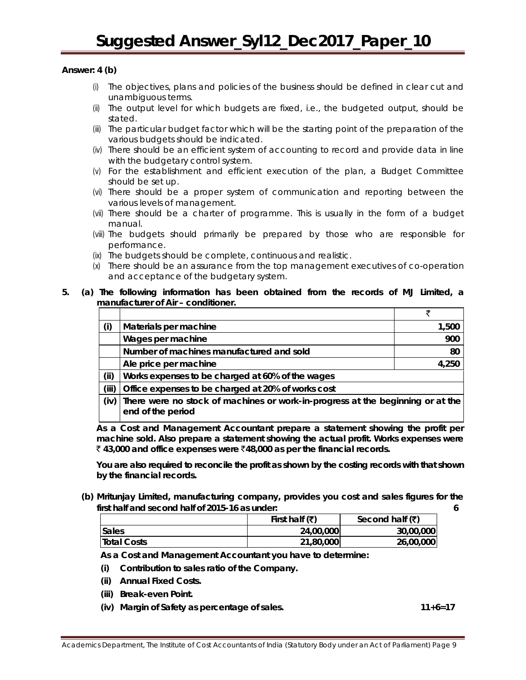#### **Answer: 4 (b)**

- (i) The objectives, plans and policies of the business should be defined in clear cut and unambiguous terms.
- (ii) The output level for which budgets are fixed, i.e., the budgeted output, should be stated.
- (iii) The particular budget factor which will be the starting point of the preparation of the various budgets should be indicated.
- (iv) There should be an efficient system of accounting to record and provide data in line with the budgetary control system.
- (v) For the establishment and efficient execution of the plan, a Budget Committee should be set up.
- (vi) There should be a proper system of communication and reporting between the various levels of management.
- (vii) There should be a charter of programme. This is usually in the form of a budget manual.
- (viii) The budgets should primarily be prepared by those who are responsible for performance.
- (ix) The budgets should be complete, continuous and realistic.
- (x) There should be an assurance from the top management executives of co-operation and acceptance of the budgetary system.

#### **5. (a) The following information has been obtained from the records of MJ Limited, a manufacturer of Air – conditioner.**

| (i)   | Materials per machine                                                                               | 1,500 |
|-------|-----------------------------------------------------------------------------------------------------|-------|
|       | Wages per machine                                                                                   | 900   |
|       | Number of machines manufactured and sold                                                            | 80    |
|       | Ale price per machine                                                                               | 4,250 |
| (iii) | Works expenses to be charged at 60% of the wages                                                    |       |
| (iii) | Office expenses to be charged at 20% of works cost                                                  |       |
| (iv)  | There were no stock of machines or work-in-progress at the beginning or at the<br>end of the period |       |

**As a Cost and Management Accountant prepare a statement showing the profit per machine sold. Also prepare a statement showing the actual profit. Works expenses were**  ` **43,000 and office expenses were** `**48,000 as per the financial records.**

**You are also required to reconcile the profit as shown by the costing records with that shown by the financial records.** 

**(b) Mritunjay Limited, manufacturing company, provides you cost and sales figures for the first half and second half of 2015-16 as under: 6**

|                    | First half $(\overline{\mathbf{z}})$ | Second half $(\overline{\mathbf{x}})$ |
|--------------------|--------------------------------------|---------------------------------------|
| <b>Sales</b>       | 24,00,000                            | 30,00,000                             |
| <b>Total Costs</b> | 21,80,000                            | 26,00,000                             |

**As a Cost and Management Accountant you have to determine:**

- **(i) Contribution to sales ratio of the Company.**
- **(ii) Annual Fixed Costs.**
- **(iii) Break-even Point.**
- **(iv) Margin of Safety as percentage of sales. 11+6=17**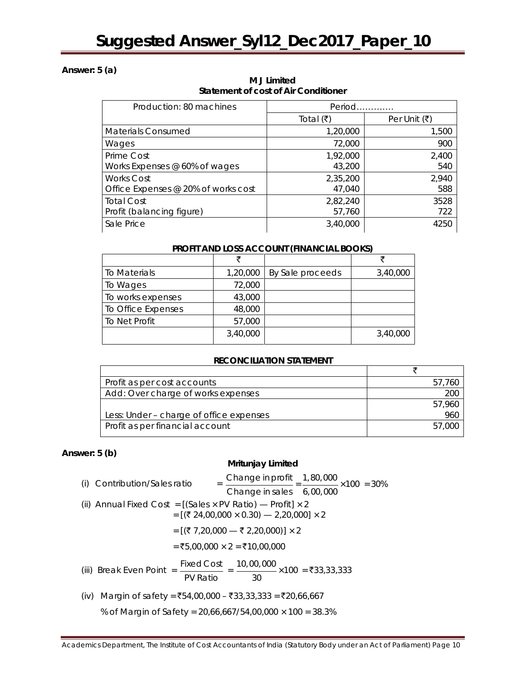# **Answer: 5 (a)**

| Production: 80 machines             | Period                           |                                     |
|-------------------------------------|----------------------------------|-------------------------------------|
|                                     | Total $(\bar{\bar{\mathbf{z}}})$ | Per Unit $(\bar{\bar{\mathbf{z}}})$ |
| <b>Materials Consumed</b>           | 1,20,000                         | 1,500                               |
| Wages                               | 72,000                           | 900                                 |
| Prime Cost                          | 1,92,000                         | 2,400                               |
| Works Expenses $@$ 60% of wages     | 43,200                           | 540                                 |
| <b>Works Cost</b>                   | 2,35,200                         | 2,940                               |
| Office Expenses @ 20% of works cost | 47,040                           | 588                                 |
| <b>Total Cost</b>                   | 2,82,240                         | 3528                                |
| Profit (balancing figure)           | 57,760                           | 722                                 |
| Sale Price                          | 3,40,000                         | 4250                                |

**M J Limited Statement of cost of Air Conditioner** 

#### **PROFIT AND LOSS ACCOUNT (FINANCIAL BOOKS)**

| To Materials       | 1,20,000 | By Sale proceeds | 3,40,000 |
|--------------------|----------|------------------|----------|
| To Wages           | 72,000   |                  |          |
| To works expenses  | 43,000   |                  |          |
| To Office Expenses | 48,000   |                  |          |
| To Net Profit      | 57,000   |                  |          |
|                    | 3,40,000 |                  | 3,40,000 |

#### **RECONCILIATION STATEMENT**

| Profit as per cost accounts             |        |
|-----------------------------------------|--------|
| Add: Over charge of works expenses      | 200    |
|                                         | 57,960 |
| Less: Under - charge of office expenses | 960    |
| Profit as per financial account         | 5/100  |

# **Answer: 5 (b)**

# **Mritunjay Limited**

| (i) Contribution/Sales ratio                                             | $\frac{1}{2}$ Change in profit $\frac{1}{2}$ , 80,000 $\times$ 100 = 30%                                                     |
|--------------------------------------------------------------------------|------------------------------------------------------------------------------------------------------------------------------|
|                                                                          | Change in sales 6,00,000                                                                                                     |
| (ii) Annual Fixed Cost = [(Sales $\times$ PV Ratio) — Profit] $\times$ 2 | $=[(724,00,000 \times 0.30) - 2,20,000] \times 2$                                                                            |
|                                                                          | = $[(\xi 7,20,000 \rightarrow \xi 2,20,000)] \times 2$                                                                       |
|                                                                          | $=$ ₹5,00,000 $\times$ 2 = ₹10,00,000                                                                                        |
|                                                                          | (iii) Break Even Point = $\frac{\text{Fixed Cost}}{\text{---}}$ = $\frac{10,00,000}{2}$ × 100 = ₹33,33,333<br>PV Ratio<br>30 |
| $(i_1)$ Margin of safoty = FE4.00.000 F22.22.22.22.520.66.667            |                                                                                                                              |

(iv) Margin of safety =  $\overline{5}54,00,000 - \overline{5}33,33,333 = \overline{5}20,66,667$ 

% of Margin of Safety = 20,66,667/54,00,000 × 100 = 38.3%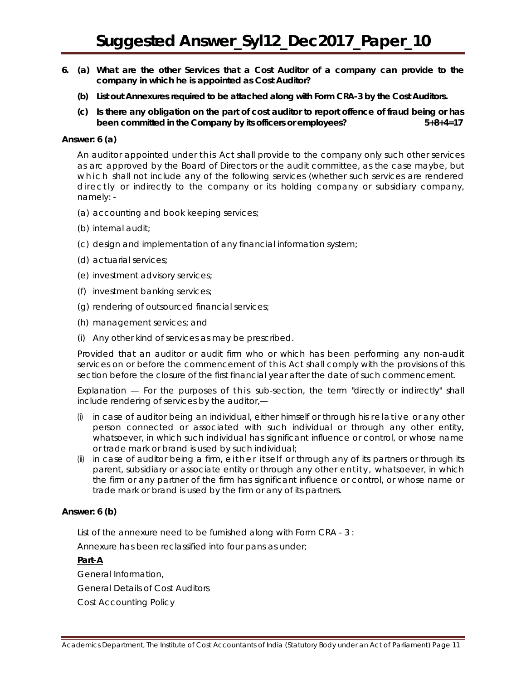- **6. (a) What are the other Services that a Cost Auditor of a company can provide to the company in which he is appointed as Cost Auditor?**
	- **(b) List out Annexures required to be attached along with Form CRA-3 by the Cost Auditors.**
	- **(c) Is there any obligation on the part of cost auditor to report offence of fraud being or has been committed in the Company by its officers or employees? 5+8+4=17**

#### **Answer: 6 (a)**

An auditor appointed under this Act shall provide to the company only such other services as arc approved by the Board of Directors or the audit committee, as the case maybe, but which shall not include any of the following services (whether such services are rendered directly or indirectly to the company or its holding company or subsidiary company, namely: -

- (a) accounting and book keeping services;
- (b) internal audit;
- (c) design and implementation of any financial information system;
- (d) actuarial services;
- (e) investment advisory services;
- (f) investment banking services;
- (g) rendering of outsourced financial services;
- (h) management services; and
- (i) Any other kind of services as may be prescribed.

Provided that an auditor or audit firm who or which has been performing any non-audit services on or before the commencement of this Act shall comply with the provisions of this section before the closure of the first financial year after the date of such commencement.

Explanation — For the purposes of this sub-section, the term "directly or indirectly" shall include rendering of services by the auditor,—

- (i) in case of auditor being an individual, either himself or through his relative or any other person connected or associated with such individual or through any other entity, whatsoever, in which such individual has significant influence or control, or whose name or trade mark or brand is used by such individual;
- (ii) in case of auditor being a firm, either itself or through any of its partners or through its parent, subsidiary or associate entity or through any other entity, whatsoever, in which the firm or any partner of the firm has significant influence or control, or whose name or trade mark or brand is used by the firm or any of its partners.

#### **Answer: 6 (b)**

List of the annexure *need* to be furnished along with Form CRA - 3 :

Annexure has been reclassified into four pans as under;

#### **Part-A**

General Information, General Details of Cost Auditors Cost Accounting Policy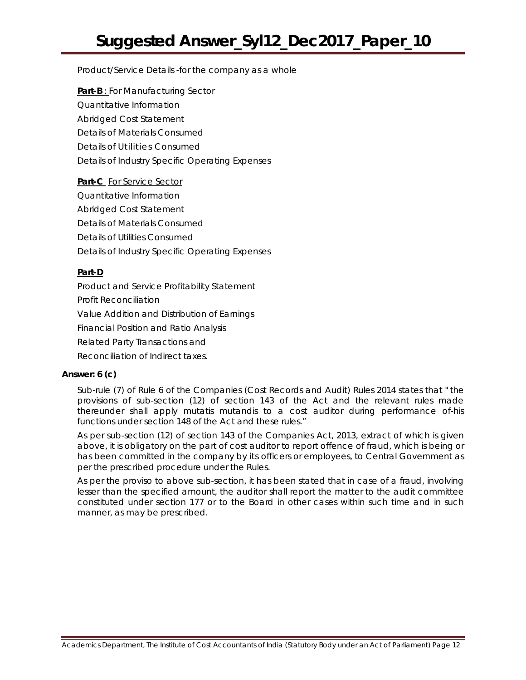Product/Service Details -for the company as a whole

**Part-B** : For Manufacturing Sector Quantitative Information Abridged Cost Statement Details of Materials Consumed Details of Utilities Consumed Details of Industry Specific Operating Expenses

**Part-C** For Service Sector Quantitative Information Abridged Cost Statement Details of Materials Consumed Details of Utilities Consumed Details of Industry Specific Operating Expenses

# **Part-D**

Product and Service Profitability Statement Profit Reconciliation Value Addition and Distribution of Earnings Financial Position and Ratio Analysis Related Party Transactions and

Reconciliation of Indirect taxes.

# **Answer: 6 (c)**

Sub-rule (7) of Rule 6 of the Companies (Cost Records and Audit) Rules 2014 states that " the provisions of sub-section (12) of section 143 of the Act and the relevant rules made thereunder shall apply mutatis mutandis to a cost auditor during performance of-his functions under section 148 of the Act and these rules."

As per sub-section (12) of section 143 of the Companies Act, 2013, extract of which is given above, it is obligatory on the part of cost auditor to report offence of fraud, which is being or has been committed in the company by its officers or employees, to Central Government as per the prescribed procedure under the Rules.

As per the proviso to above sub-section, it has been stated that in case of a fraud, involving lesser than the specified amount, the auditor shall report the matter to the audit committee constituted under section 177 or to the Board in other cases within such time and in such manner, as may be prescribed.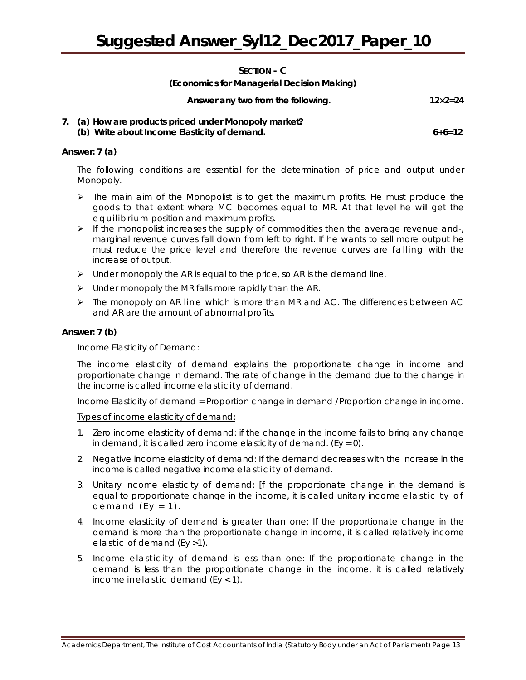# **SECTION - C**

#### **(Economics for Managerial Decision Making)**

| Answer any two from the following. | $12 \times 2 = 24$ |
|------------------------------------|--------------------|
|                                    |                    |

#### **7. (a) How are products priced under Monopoly market? (b) Write about Income Elasticity of demand. 6+6=12**

#### **Answer: 7 (a)**

The following conditions are essential for the determination of price and output under Monopoly.

- $\triangleright$  The main aim of the Monopolist is to get the maximum profits. He must produce the goods to that extent where MC becomes equal to MR. At that level he will get the equilibrium position and maximum profits.
- $\triangleright$  If the monopolist increases the supply of commodities then the average revenue and-, marginal revenue curves fall down from left to right. If he wants to sell more output he must reduce the price level and therefore the revenue curves are falling with the increase of output.
- $\triangleright$  Under monopoly the AR is equal to the price, so AR is the demand line.
- $\triangleright$  Under monopoly the MR falls more rapidly than the AR.
- > The monopoly on AR line which is more than MR and AC. The differences between AC and AR are the amount of abnormal profits.

# **Answer: 7 (b)**

#### Income Elasticity of Demand:

The income elasticity of demand explains the proportionate change in income and proportionate change in demand. The rate of change in the demand due to the change in the income is called income elasticity of demand.

Income Elasticity of demand = Proportion change in demand /Proportion change in income.

Types of income elasticity of demand:

- 1. Zero income elasticity of demand: if the change in the income fails to bring any change in demand, it is called zero income elasticity of demand. (Ey =  $0$ ).
- 2. Negative income elasticity of demand: If the demand decreases with the increase in the income is called negative income elasticity of demand.
- 3. Unitary income elasticity of demand: [f the proportionate change in the demand is equal to proportionate change in the income, it is called unitary income elasticity of demand  $(Ey = 1)$ .
- 4. Income elasticity of demand is greater than one: If the proportionate change in the demand is more than the proportionate change in income, it is called relatively income elastic of demand (Ey >1).
- 5. Income elasticity of demand is less than one: If the proportionate change in the demand is less than the proportionate change in the income, it is called relatively income inelastic demand (Ey < 1).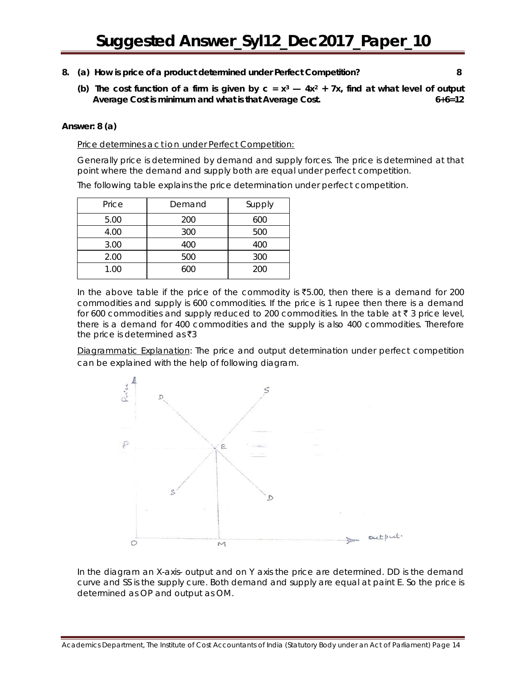- **8. (a) How is price of a product determined under Perfect Competition? 8**
	- (b) The cost function of a firm is given by  $c = x^3 4x^2 + 7x$ , find at what level of output **Average Cost is minimum and what is that Average Cost. 6+6=12**

#### **Answer: 8 (a)**

Price determines action under Perfect Competition:

Generally price is determined by demand and supply forces. The price is determined at that point where the demand and supply both are equal under perfect competition.

The following table explains the price determination under perfect competition.

| Price | Demand | Supply |
|-------|--------|--------|
| 5.00  | 200    | 600    |
| 4.00  | 300    | 500    |
| 3.00  | 400    | 400    |
| 2.00  | 500    | 300    |
| 1.00  | 600    | 200    |

In the above table if the price of the commodity is  $\overline{55.00}$ , then there is a demand for 200 commodities and supply is 600 commodities. If the price is 1 rupee then there is a demand for 600 commodities and supply reduced to 200 commodities. In the table at  $\bar{\tau}$  3 price level, there is a demand for 400 commodities and the supply is also 400 commodities. Therefore the price is determined as  $\bar{z}3$ 

Diagrammatic Explanation: The price and output determination under perfect competition can be explained with the help of following diagram.



In the diagram an X-axis- output and on Y axis the price are determined. DD is the demand curve and SS is the supply cure. Both demand and supply are equal at paint E. So the price is determined as OP and output as OM.

Academics Department, The Institute of Cost Accountants of India (Statutory Body under an Act of Parliament) Page 14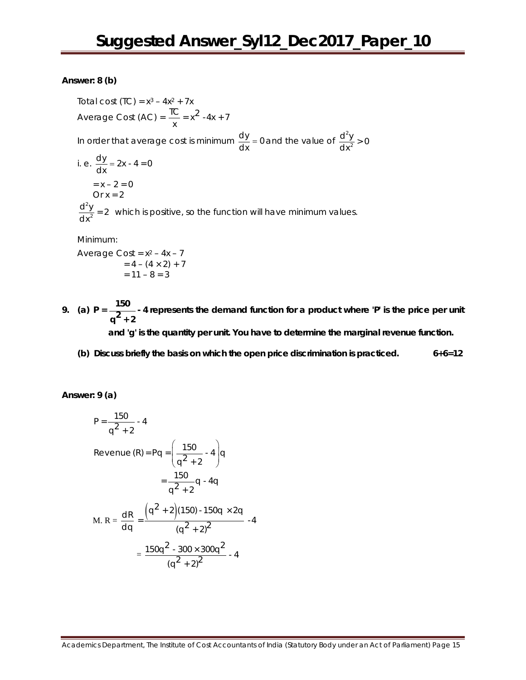#### **Answer: 8 (b)**

Total cost  $(TC) = x^3 - 4x^2 + 7x$ Average Cost (AC) =  $\frac{TC}{x} = x^2 - 4x + 7$ In order that average cost is minimum  $\frac{dy}{dx}$  = 0 and the value of  $\frac{d^2}{dx}$  $\frac{d^2y}{dx^2} > 0$ i. e.  $\frac{dy}{dx} = 2x - 4 = 0$  $= x - 2 = 0$  $Or x = 2$ 2  $\frac{d^2y}{dx^2}$  = 2 which is positive, so the function will have minimum values.

Minimum:

Average Cost =  $x^2$  –  $4x - 7$  $= 4 - (4 \times 2) + 7$  $= 11 - 8 = 3$ 

- **9.** (a)  $P = \frac{150}{q^2 + 2}$  4 represents the demand function for a product where 'P' is the price per unit **and 'g' is the quantity per unit. You have to determine the marginal revenue function.**
	- **(b) Discuss briefly the basis on which the open price discrimination is practiced. 6+6=12**

**Answer: 9 (a)**

$$
P = \frac{150}{q^2 + 2} - 4
$$
  
Revenue (R) = Pq =  $\left(\frac{150}{q^2 + 2} - 4\right)q$   

$$
= \frac{150}{q^2 + 2}q - 4q
$$
  
M. R =  $\frac{dR}{dq} = \frac{(q^2 + 2)(150) - 150q \times 2q}{(q^2 + 2)^2} - 4$   

$$
= \frac{150q^2 - 300 \times 300q^2}{(q^2 + 2)^2} - 4
$$